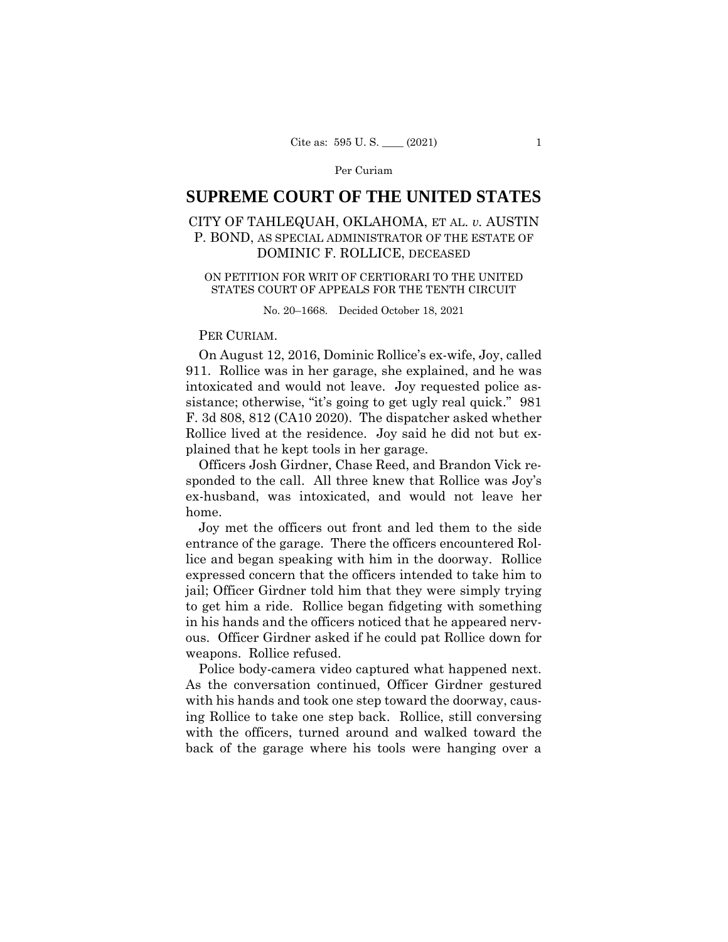# **SUPREME COURT OF THE UNITED STATES**

# CITY OF TAHLEQUAH, OKLAHOMA, ET AL. *v.* AUSTIN P. BOND, AS SPECIAL ADMINISTRATOR OF THE ESTATE OF DOMINIC F. ROLLICE, DECEASED

#### ON PETITION FOR WRIT OF CERTIORARI TO THE UNITED STATES COURT OF APPEALS FOR THE TENTH CIRCUIT

No. 20–1668. Decided October 18, 2021

## PER CURIAM.

On August 12, 2016, Dominic Rollice's ex-wife, Joy, called 911. Rollice was in her garage, she explained, and he was intoxicated and would not leave. Joy requested police assistance; otherwise, "it's going to get ugly real quick." 981 F. 3d 808, 812 (CA10 2020). The dispatcher asked whether Rollice lived at the residence. Joy said he did not but explained that he kept tools in her garage.

Officers Josh Girdner, Chase Reed, and Brandon Vick responded to the call. All three knew that Rollice was Joy's ex-husband, was intoxicated, and would not leave her home.

Joy met the officers out front and led them to the side entrance of the garage. There the officers encountered Rollice and began speaking with him in the doorway. Rollice expressed concern that the officers intended to take him to jail; Officer Girdner told him that they were simply trying to get him a ride. Rollice began fidgeting with something in his hands and the officers noticed that he appeared nervous. Officer Girdner asked if he could pat Rollice down for weapons. Rollice refused.

 Police body-camera video captured what happened next. As the conversation continued, Officer Girdner gestured with his hands and took one step toward the doorway, causing Rollice to take one step back. Rollice, still conversing with the officers, turned around and walked toward the back of the garage where his tools were hanging over a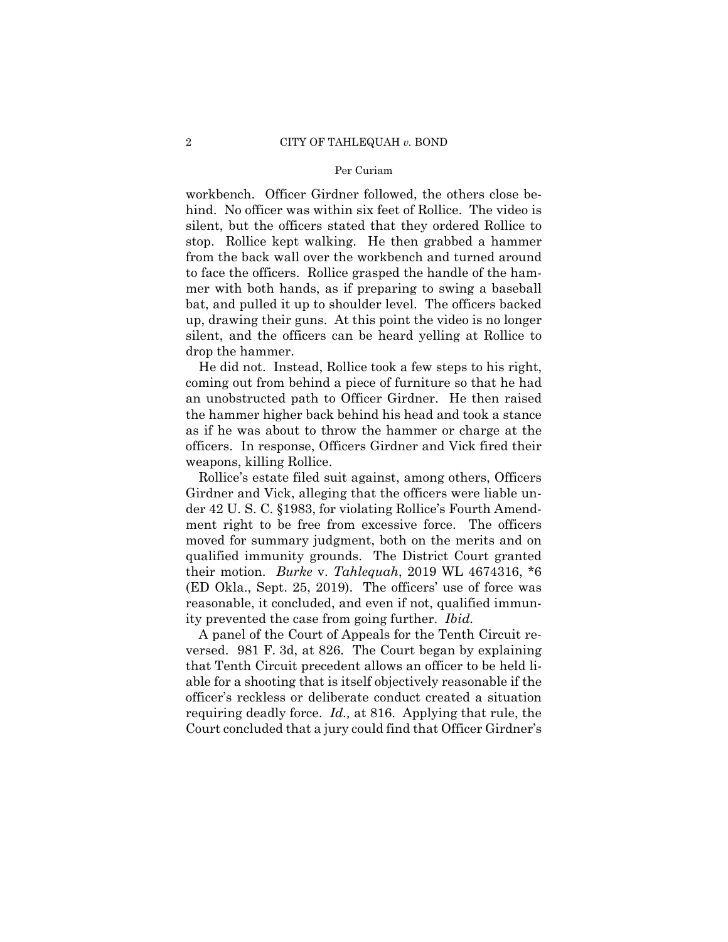workbench. Officer Girdner followed, the others close behind. No officer was within six feet of Rollice. The video is silent, but the officers stated that they ordered Rollice to stop. Rollice kept walking. He then grabbed a hammer from the back wall over the workbench and turned around to face the officers. Rollice grasped the handle of the hammer with both hands, as if preparing to swing a baseball bat, and pulled it up to shoulder level. The officers backed up, drawing their guns. At this point the video is no longer silent, and the officers can be heard yelling at Rollice to drop the hammer.

He did not. Instead, Rollice took a few steps to his right, coming out from behind a piece of furniture so that he had an unobstructed path to Officer Girdner. He then raised the hammer higher back behind his head and took a stance as if he was about to throw the hammer or charge at the officers. In response, Officers Girdner and Vick fired their weapons, killing Rollice.

Rollice's estate filed suit against, among others, Officers Girdner and Vick, alleging that the officers were liable under 42 U. S. C. §1983, for violating Rollice's Fourth Amendment right to be free from excessive force. The officers moved for summary judgment, both on the merits and on qualified immunity grounds. The District Court granted their motion. *Burke* v. *Tahlequah*, 2019 WL 4674316, \*6 (ED Okla., Sept. 25, 2019). The officers' use of force was reasonable, it concluded, and even if not, qualified immunity prevented the case from going further. *Ibid.* 

A panel of the Court of Appeals for the Tenth Circuit reversed. 981 F. 3d, at 826. The Court began by explaining that Tenth Circuit precedent allows an officer to be held liable for a shooting that is itself objectively reasonable if the officer's reckless or deliberate conduct created a situation requiring deadly force. *Id.,* at 816. Applying that rule, the Court concluded that a jury could find that Officer Girdner's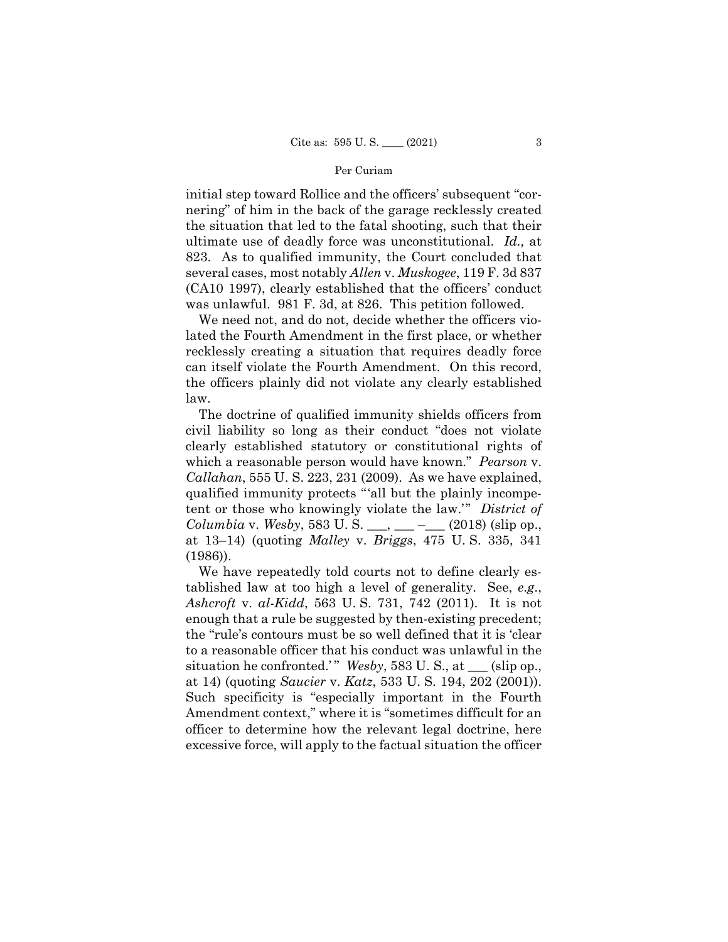initial step toward Rollice and the officers' subsequent "cornering" of him in the back of the garage recklessly created the situation that led to the fatal shooting, such that their ultimate use of deadly force was unconstitutional. *Id.,* at 823. As to qualified immunity, the Court concluded that several cases, most notably *Allen* v. *Muskogee*, 119 F. 3d 837 (CA10 1997), clearly established that the officers' conduct was unlawful. 981 F. 3d, at 826. This petition followed.

We need not, and do not, decide whether the officers violated the Fourth Amendment in the first place, or whether recklessly creating a situation that requires deadly force can itself violate the Fourth Amendment. On this record, the officers plainly did not violate any clearly established law.

The doctrine of qualified immunity shields officers from civil liability so long as their conduct "does not violate clearly established statutory or constitutional rights of which a reasonable person would have known." *Pearson* v. *Callahan*, 555 U. S. 223, 231 (2009). As we have explained, qualified immunity protects "'all but the plainly incompetent or those who knowingly violate the law.'" *District of Columbia* v. *Wesby*, 583 U. S. \_\_\_, \_\_\_ –\_\_\_ (2018) (slip op., at 13–14) (quoting *Malley* v. *Briggs*, 475 U. S. 335, 341 (1986)).

We have repeatedly told courts not to define clearly established law at too high a level of generality. See, *e*.*g*., *Ashcroft* v. *al-Kidd*, 563 U. S. 731, 742 (2011). It is not enough that a rule be suggested by then-existing precedent; the "rule's contours must be so well defined that it is 'clear to a reasonable officer that his conduct was unlawful in the situation he confronted.'" *Wesby*, 583 U.S., at \_\_\_ (slip op., at 14) (quoting *Saucier* v. *Katz*, 533 U. S. 194, 202 (2001)). Such specificity is "especially important in the Fourth Amendment context," where it is "sometimes difficult for an officer to determine how the relevant legal doctrine, here excessive force, will apply to the factual situation the officer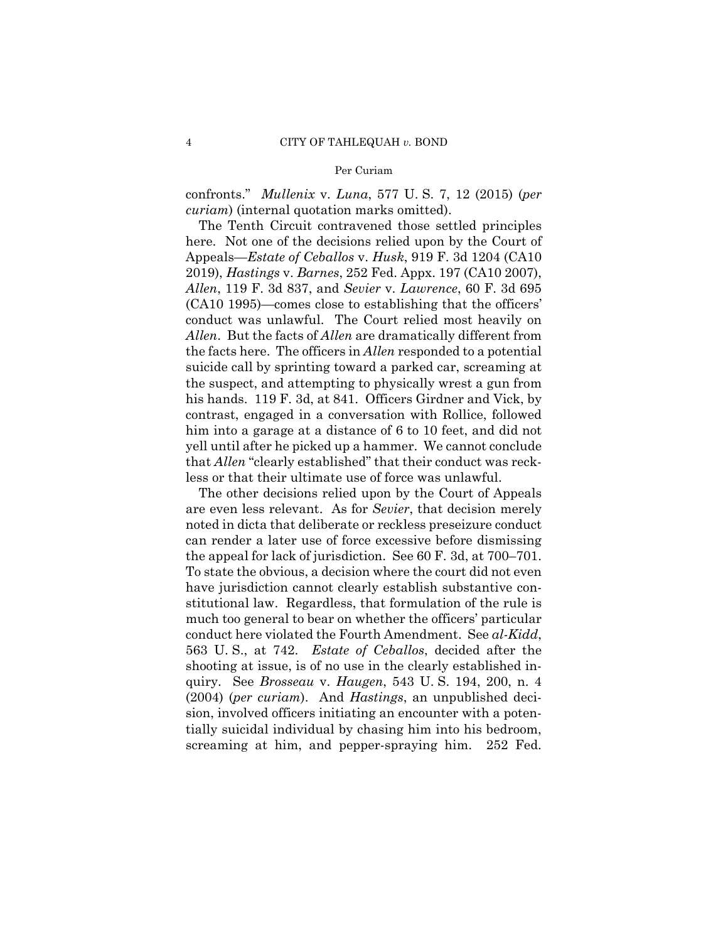confronts." *Mullenix* v. *Luna*, 577 U. S. 7, 12 (2015) (*per curiam*) (internal quotation marks omitted).

The Tenth Circuit contravened those settled principles here. Not one of the decisions relied upon by the Court of Appeals—*Estate of Ceballos* v. *Husk*, 919 F. 3d 1204 (CA10 2019), *Hastings* v. *Barnes*, 252 Fed. Appx. 197 (CA10 2007), *Allen*, 119 F. 3d 837, and *Sevier* v. *Lawrence*, 60 F. 3d 695 (CA10 1995)—comes close to establishing that the officers' conduct was unlawful. The Court relied most heavily on *Allen*. But the facts of *Allen* are dramatically different from the facts here. The officers in *Allen* responded to a potential suicide call by sprinting toward a parked car, screaming at the suspect, and attempting to physically wrest a gun from his hands. 119 F. 3d, at 841. Officers Girdner and Vick, by contrast, engaged in a conversation with Rollice, followed him into a garage at a distance of 6 to 10 feet, and did not yell until after he picked up a hammer. We cannot conclude that *Allen* "clearly established" that their conduct was reckless or that their ultimate use of force was unlawful.

The other decisions relied upon by the Court of Appeals are even less relevant. As for *Sevier*, that decision merely noted in dicta that deliberate or reckless preseizure conduct can render a later use of force excessive before dismissing the appeal for lack of jurisdiction. See 60 F. 3d, at 700–701. To state the obvious, a decision where the court did not even have jurisdiction cannot clearly establish substantive constitutional law. Regardless, that formulation of the rule is much too general to bear on whether the officers' particular conduct here violated the Fourth Amendment. See *al-Kidd*, 563 U. S., at 742. *Estate of Ceballos*, decided after the shooting at issue, is of no use in the clearly established inquiry. See *Brosseau* v. *Haugen*, 543 U. S. 194, 200, n. 4 (2004) (*per curiam*). And *Hastings*, an unpublished decision, involved officers initiating an encounter with a potentially suicidal individual by chasing him into his bedroom, screaming at him, and pepper-spraying him. 252 Fed.